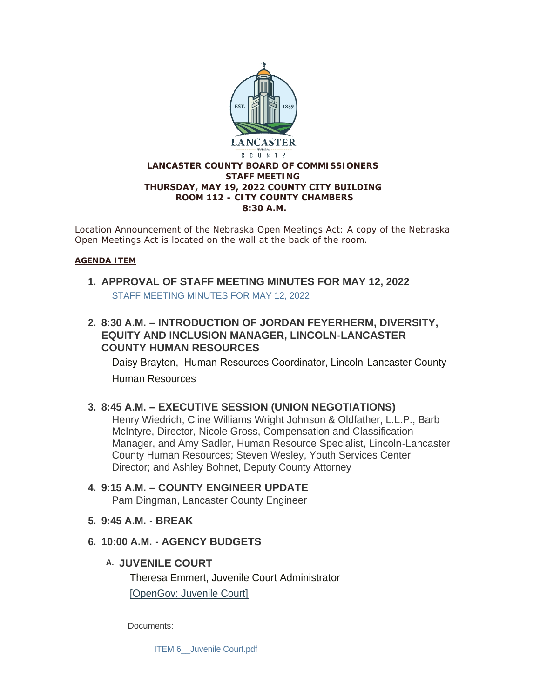

*Location Announcement of the Nebraska Open Meetings Act: A copy of the Nebraska Open Meetings Act is located on the wall at the back of the room.*

#### **AGENDA ITEM**

- **APPROVAL OF STAFF MEETING MINUTES FOR MAY 12, 2022 1.** [STAFF MEETING MINUTES FOR MAY 12, 2022](https://www.lancaster.ne.gov/AgendaCenter/ViewFile/Minutes/_05122022-1558)
- **8:30 A.M. – INTRODUCTION OF JORDAN FEYERHERM, DIVERSITY, 2. EQUITY AND INCLUSION MANAGER, LINCOLN-LANCASTER COUNTY HUMAN RESOURCES**

Daisy Brayton, Human Resources Coordinator, Lincoln-Lancaster County Human Resources

### **8:45 A.M. – EXECUTIVE SESSION (UNION NEGOTIATIONS) 3.**

Henry Wiedrich, Cline Williams Wright Johnson & Oldfather, L.L.P., Barb McIntyre, Director, Nicole Gross, Compensation and Classification Manager, and Amy Sadler, Human Resource Specialist, Lincoln-Lancaster County Human Resources; Steven Wesley, Youth Services Center Director; and Ashley Bohnet, Deputy County Attorney

#### **9:15 A.M. – COUNTY ENGINEER UPDATE 4.** Pam Dingman, Lancaster County Engineer

- **9:45 A.M. - BREAK 5.**
- **10:00 A.M. - AGENCY BUDGETS 6.**
	- **JUVENILE COURT A.**

Theresa Emmert, Juvenile Court Administrator [\[OpenGov: Juvenile Court\]](https://lancaster.opengov.com/transparency#/62488/accountType=revenuesVersusExpenses&embed=n&breakdown=types¤tYearAmount=cumulative¤tYearPeriod=years&graph=bar&legendSort=desc&proration=true&saved_view=327912&selection=18B251AFABCA13EBE9CC0F4716CFE5D9&projections=null&projectionType=null&highlighting=null&highlightingVariance=null&year=2022&selectedDataSetIndex=null&fiscal_start=earliest&fiscal_end=latest)

Documents:

ITEM 6 Juvenile Court.pdf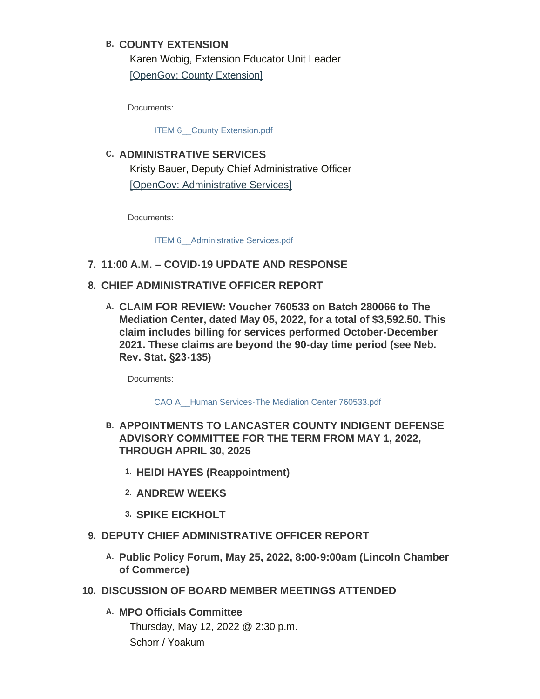### **COUNTY EXTENSION B.**

Karen Wobig, Extension Educator Unit Leader [\[OpenGov: County Extension\]](https://lancaster.opengov.com/transparency#/62488/accountType=revenuesVersusExpenses&embed=n&breakdown=types¤tYearAmount=cumulative¤tYearPeriod=years&graph=bar&legendSort=desc&proration=true&saved_view=327913&selection=073E73A5BF2DE8FF292F398047405699&projections=null&projectionType=null&highlighting=null&highlightingVariance=null&year=2022&selectedDataSetIndex=null&fiscal_start=earliest&fiscal_end=latest)

Documents:

ITEM 6 County Extension.pdf

**ADMINISTRATIVE SERVICES C.** Kristy Bauer, Deputy Chief Administrative Officer [\[OpenGov: Administrative Services\]](https://lancaster.opengov.com/transparency#/62488/accountType=revenuesVersusExpenses&embed=n&breakdown=types¤tYearAmount=cumulative¤tYearPeriod=years&graph=bar&legendSort=desc&proration=true&saved_view=327914&selection=FBAD22C822D5947F4C3298F3D1EDE979&projections=null&projectionType=null&highlighting=null&highlightingVariance=null&year=2022&selectedDataSetIndex=null&fiscal_start=earliest&fiscal_end=latest)

Documents:

ITEM 6 Administrative Services.pdf

- **11:00 A.M. – COVID-19 UPDATE AND RESPONSE 7.**
- **CHIEF ADMINISTRATIVE OFFICER REPORT 8.**
	- **CLAIM FOR REVIEW: Voucher 760533 on Batch 280066 to The A. Mediation Center, dated May 05, 2022, for a total of \$3,592.50. This claim includes billing for services performed October-December 2021. These claims are beyond the 90-day time period (see Neb. Rev. Stat. §23-135)**

Documents:

[CAO A\\_\\_Human Services-The Mediation Center 760533.pdf](https://www.lancaster.ne.gov/AgendaCenter/ViewFile/Item/5788?fileID=8284)

- **APPOINTMENTS TO LANCASTER COUNTY INDIGENT DEFENSE B. ADVISORY COMMITTEE FOR THE TERM FROM MAY 1, 2022, THROUGH APRIL 30, 2025**
	- **HEIDI HAYES (Reappointment) 1.**
	- **ANDREW WEEKS 2.**
	- **SPIKE EICKHOLT 3.**
- **DEPUTY CHIEF ADMINISTRATIVE OFFICER REPORT 9.**
	- **Public Policy Forum, May 25, 2022, 8:00-9:00am (Lincoln Chamber A. of Commerce)**
- **DISCUSSION OF BOARD MEMBER MEETINGS ATTENDED 10.**
	- **MPO Officials Committee A.** Thursday, May 12, 2022 @ 2:30 p.m. Schorr / Yoakum